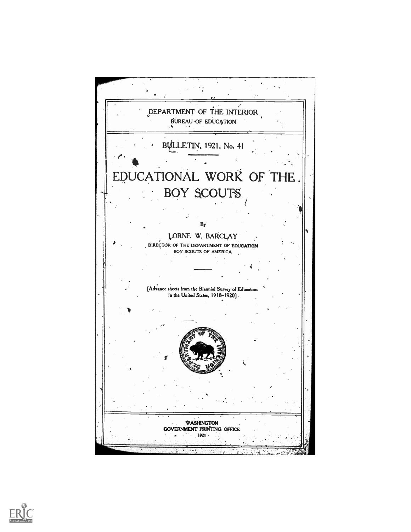

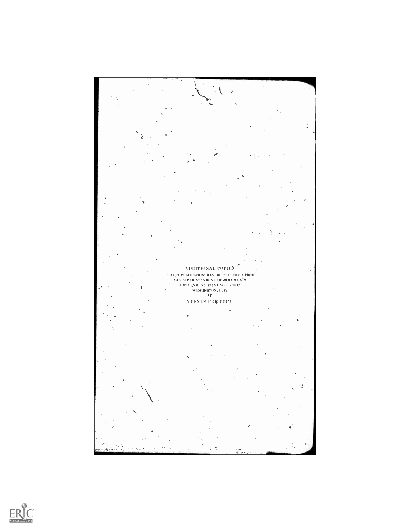

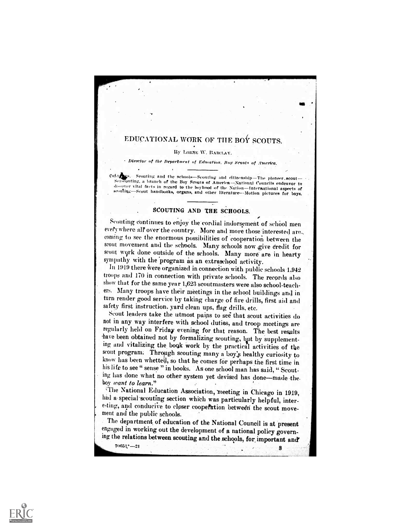## EDUCATIONAL WORK OF THE BOY SCOUTS.

#### By 1.0aNE W. BARCLAY.

Director of the Department of Education. Boy Scouts of America.

Cover Securing and the schools—Securing and citizenship—The ploneer scout-<br>Seasonting, a branch of the Boy Scouts of America—National Councils endeavor to<br>discover vital facts in regard to the boyhood of the Nation—Interna

## SCOUTING AND THE SCHOOLS.

Scouting continues to enjoy the cordial indorsement of school men everywhere all over the country. More and more those interested are. coming to see the enormous possibilities of cooperation between the scout movement and the schools. Many schools now give dredit for scout work done outside of the schools. Many more are in hearty sympathy with the program as an extraschool activity.

In 1919 there were organized in connection with public schools 1,94 troops and 170 in connection with private schools. The records .also show that for the same year 1,623 scoutmasters were also school-teachers. Many troops have their meetings in the school buildings and in turn render good service by taking charge of fire drills, first aid and safety first instruction. yard clean ups, flag drills, etc.

Scout leaders take the utmost pains to see that scout activities do not in any way interfere with school duties, and troop meetings are regularly held on Friday evening for that reason. The best results -have been obtained not by formalizing scouting, but by supplementing and vitalizing the boqk Work by the practicil activities of the scout program: Through scouting many a boy's healthy curiosity to know has been whetted, so that he comes for perhaps the first time in his life to see " sense " in books. As one school man has said, " Scouting has done what no other system yet devised has done-made-the. boy want to learn."<br>The National Education Association, meeting in Chicago in 1919,

had a special scouting section which was particularly helpful, interesting, and conducive to closer coopertion between the scout move-

ment and the public schools.<br>The department of education of the National Council is at present engaged in working out the development of a national policy governing the relations between scouting and the .schools, fOr, important and'

70051:--,21 8

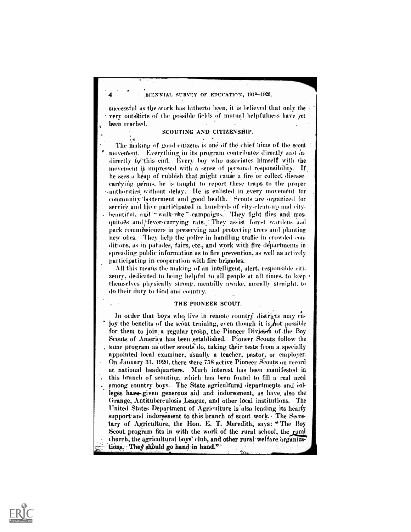BIENNIAL SURVEY OF EDUCATION, 1918-1920.

successful as the work has hitherto been, it is believed that only the very outskirts of the possible finlds of mutual helpfulness- have vet been reached.

#### SCOUTING AND CITIZENSHIP.

The making of good citizens is one of the chief aims of the scout movement. Everything in its program contributes directly and indirectly to this end. Every boy who associates himself with the movement is impressed with a sense of personal responsibility. If, he sees a heap of rubbish that might cause a fire or collect disease-. carrying germs, he is taught to report these traps to the proper authorities without delay. He is enlisted in every movement for community betterment and good health. Scouts are organized for service and have participated in hundreds of city-clean-up and citybeautiful, and "walk-rite" campaigns. They fight flies and mosquitoes and/fever-carrying rats. They assist forest wardens and park commiksioners. in preserving and protecting trees and planting new ones. They help the police in handling-traffic in crowded conditions, as in parades, fairs, etc., and work with fire departments in spreading public information as to fire prevention, as well as actively participating in cooperation with fire brigades.

All this means the making of an intelligent, alert, responsible citizenry. dedicated to being helpful to all people at all times. to keep themselves physically strong. mentally awake, morally straight. to do their duty to God and country.

#### THE PIONEER SCOUT.

In order that boys who live in remote country districts may enjoy the benefits of the scout training, even though it is not possible for them to join a regular troop, the Pioneer Division of the Boy Scouts of America has been .established. Pioneer Scouts follow the same program as other scouts do, taking their tests from a specially appointed local examiner, usually a teacher, pastor, or employer. On January 31, 1920, there were 758 active Pioneer Scouts on record at national headquarters. Much interest has been manifested in . this branch of scouting. which has been found to fill a real need among country boys. The State agricultural departments and colleges have given generous aid and indorsement, as have also the Grange, Antituberculosis League, and other local institutions. The United States Department of Agriculture is also lending its hearty support and indorsement to this branch of scout work. The Secretary of Agriculture, the Hon. E. T. Meredith, says: " The Boy Scout. program fits in with the work of the rural school, the rural church, the agricultural boys' club, and other rural welfare organizations. They should go hand in hand."

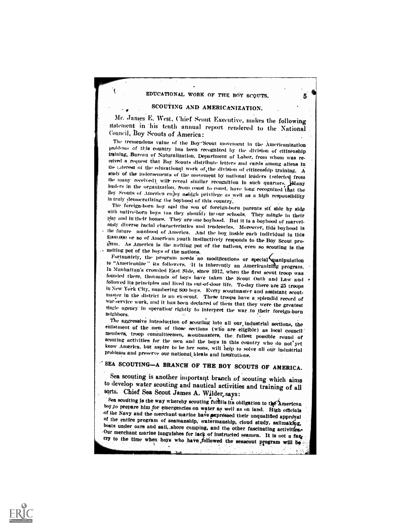### EDUCATIONAL WORK OF THE BOY SCQUTS.

5

### SCOUTING AND AMERICANIZATION.

1

٦

Mr. James E. West, Chief Scout Executive, makes the following statement in his tenth annual report rendered to the National Council, Boy Scouts of America:

The tremendous value of the Boy Scout movement in the Americanization<br>problems of this country has been recognized by the division of citizenship training, Bureau of Naturalization. Department of Labor, from whom was received a request that Boy Scouts distribute letters and cards among aliens in the interest of the educational work of the division of citizenship training. A study of the indorsements of the movement by national leaders (selected from the many received), will reveal similar recognition in such quarters. Many leaders in the organization, from coust to coust, have long recognized that the Boy Scouts of America enjoy assign privilege as well as a high responsibility in truly democratizing the boyhood of this country.

The foreign-born boy and the son of foreign-born parents sit side by side<br>with native-born boys (as they should) in our schools. They mingle in their<br>play and in their homes. They are one boyhood. But it is a boyhood of ma  $S(000,000)$  or so of American youth instinctively responds to the Boy Scout pro-<br>gram. As American is the melting pot of the nations, even so scouting is the<br>melting pot of the boys of the nations.<br>Fortunately, the progr

to "Americanize" its followers. It is inherently an Americanizing program.<br>In Manhattan's crowded East Side, since 1912, when the first scout troop was<br>founded there, thousands of boys have taken the Scout Oath and Law an single agency in operation rightly to interpret the war to their foreign-born neighbors.<br>The aggressive introduction of scouting into all our industrial sections, the

enlistment of the men of those sections (who are eligible) as local council members, troop committeemen, scoutmasters, the fullest possible round of scouting activities for the men and the boys in this country who do not y

SEA SCOUTING-A BRANCH OF THE BOY SCOUTS OF AMERICA.

Sea scouting is another important branch of scouting which aims to develop water scouting and nautical activities and training of all sorts. Chief Sea Scout James A. Wilder, says:<br>Sea scouting is the way whereby scouting full is its obligation to the American

boy to prepare him for emergencies on water as well as on land. High officials of the Navy and the nerchant marine have axpressed their unqualified approval of the entire program of seamanship, watermanship, cloud study, s

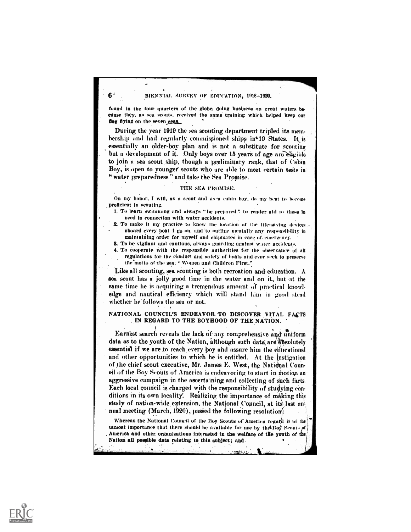### $6'$  BIENNIAL SURVEY OF EDUCATION, 1918-1920.

found in the four quarters of the globe, doing business on great waters because they, as sea scouts. received the same training which helped keep our flag flying on the seven seas.

During the yeat 1919 the sea scouting department tripled its membership and had regularly commissioned ships in<sup>19</sup> States. It is essentially an older-boy plan and is not a substitute for scouting but a development of it. Only boys over 15 years of age are eligible to join a sea scout ship, though a preliminary rank, that of Cabin Boy, is open to younger scouts who are able to meet certain tests in " water preparedness" and take the Sea Promise.

#### THE SEA PROMISE.

On my honor, I will, as a scout and as a cabin boy, do my best to become proficient in scouting.

- I. TO learn swimming and always "be prepared" to render aid to those in need in connection with water accidents.
- 2. To make it my practice to know the location of the life-saving devices . aboard every boat I go on. and-to outline mentally any responsibility in maintaining order for myself and shipmates in case of. eniergeney.
- 8. To be vigilant and cautious, always guarding against water accidents.
- 4. To cooperate with the responsible authorities for the observance of all regulations for the conduct and safety of boats and ever sek to preserve the'motto of the sea; Women and Children First."

Like all scouting, sea scouting is both recreation and education. A sea scout has a jolly good time in the water and on it, but at the same time he is acquiring a tremendous amount of practical knowledge and nautical efficiency which will stand him in good stead whether he follows the sea or not.

#### NATIONAL COUNCIL'S ENDEAVOR TO DISCOVER VITAL FACTS IN REGARD TO THE BOYHOOD OF THE NATION.

Earnest search reveals the lack of any comprehensive and uniform data as to the youth of the Nation, although suth data are absolutely essential if we are to reach every boy and assure him the eilticational and other opportunities to which he is entitled. At the instigation of the chief scout executive, Mr. James E. West, the National Counoil of the Boy Scouts of America is endeavoring to start in motion an aggressive campaign in the ascertaining and collecting of such facts. Each local council is charged with the responsibility of studying conditions in its own locality. Realizing the importance of making this study of nation-wide extension, the National Council, at its last annual meeting (March, 1920), passed the following resolutions:

Whereas the National Council of the Boy Scouts of America regard it of the utmost importance that there should be available for use by the Boy Scouts of America and other organizations interested in the welfare of the youth of the Nation all possible data relating to this subject ; and

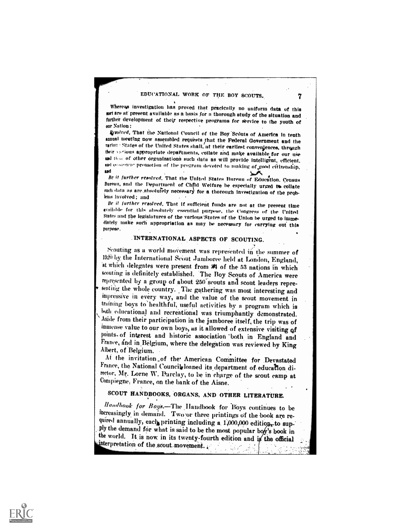### EDUCATIONAL WORK OF THE BOY SCOUTS.

Whereas investigation has proved that pracically no uniform data of this sort are at present available as a basis for a thorough study of the situation and further development of their respective programs for service to the youth of our Nation:

Resolved, That the National Council of the Boy Scouts of America in tenth annual meeting now assembled requests that the Federal Government and the rarious States of the United States shall, at their earliest conveniences, through their various appropriate departments, collate and make available for our use and that of other organizations such data as will provide intelligent, efficient, and economic promotion of the program devoted to making of good citizenship, and

Be it further resolved. That the United States Bureau of Education. Census Bureau, and the Department of Chfld Welfare be especially urged to collate such data as are absolutely necessary for a thorough investigation of the problems involved; and

Be it further resolved. That if sufficient funds are not at the present time available for this absolutely essential purpose, the Congress of the United States and the legislatures of the various States of the Union be urged to immediately make such appropriation as may be necessary for carrying out this purpose.

## INTERNATIONAL ASPECTS OF SCOUTING.

Scouting as a world movement was represented in the summer of 1920 by the International Scout Jamboree held at London, England, at which delegates were present from  $\frac{1}{2}$  of the 53 nations in which scouting is definitely established. The Boy Scouts of America were represented by a group of about 250 scouts and scout leaders representing the whole country. The gathering was most interesting and impressive in every way, and the value of the scout movement in training boys to healthful, useful activities by a program which is buth educational and recreational was triumphantly demonstrated. Aside from their participation in the jamboree itself, the trip was of immense value to our own boys, as it allowed of extensive visiting of points of interest and historic association both in England and France, and in Belgium, where the delegation was reviewed by King Albert, of Belgium.

At the invitation of the American Committee for Devastated France, the National Council loaned its department of education director, Mr. Lorne W. Parclay, to be in charge of the scout camp at Compiegne, France, on the bank of the Aisne.

# SCOUT HANDBOOKS, ORGANS, AND OTHER LITERATURE.

Handbook for Boys.-The Handbook for Boys continues to be increasingly in demand. Two or three printings of the book are required annually, each printing including a 1,000,000 edition, to supply the demand for what is said to be the most popular boy's book in the world. It is now in its twenty-fourth edition and is the official interpretation of the scout movement.



7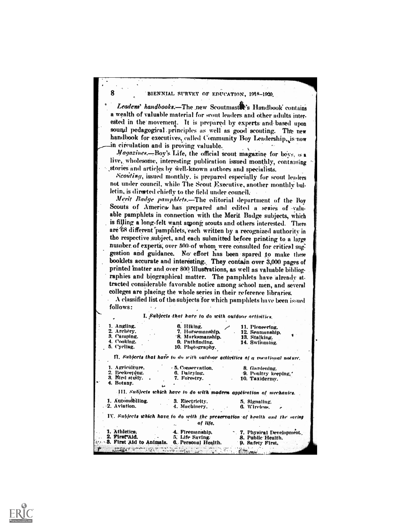#### 8 BIENNIAL SURVEY OF EDUCATION, 1918-1920.

Leadens' handbooks.-The new Scoutmastr's Handbook contains a wealth of valuable material for scout leaders and other adults interested in the movement. It is prepared by experts and based upon sound pedagogical principles as well as good scouting. The new handbook for executives, called Community Boy Leadership, is now in circulation and is proving valuable.

Magazines.-Boy's Life, the official scout magazine for boys, is a live, wholesome, interesting publication issued monthly, containing stories and articles by well-known authors and specialists.

Scouting, issued monthly, is prepared especially for scout leaders not under council, while The Scout Executive, another monthly bulletin, is directed chiefly to the field under council.

Merit Badge pamphlets.-The editorial department of the Boy Scouts of America has prepared and edited a series of valuable pamphlets in connection with the Merit Badge subjects, which is filling a long-felt want among scouts and others interested. There are 68 different pamphlets, each written by a recognized authority in the respective subject, and each submitted before printing to a large number of experts, over 500-of whom were consulted for critical suggestion and guidance. No effort has been spared to make these booklets accurate and interesting. They contain over 3,000 pages of printed matter and over 800 illustrations, as well as valuable bibliographies and biographical matter. The pamphlets have already attracted considerable favorable notice among school men, and several colleges are placing the whole series in their reference libraries.

A classified list of the subjects for which pamphlets have been issued follows:

I. Subjects that hare to do with outdoor actiniticm,

| 1. Angling.<br>2. Archery.                                                                                                                                                                                                          | 6. Hiking.<br>7. Horsemanship,                                          | 11. Ploneering.<br>12. Seamanship.                                           |
|-------------------------------------------------------------------------------------------------------------------------------------------------------------------------------------------------------------------------------------|-------------------------------------------------------------------------|------------------------------------------------------------------------------|
| 3. Camping.                                                                                                                                                                                                                         | 8. Marksmanship.                                                        | 13. Stalking.                                                                |
| 4. Cooking.                                                                                                                                                                                                                         | 9. Pathfinding.                                                         | 14. Swimming.                                                                |
| 5. Cycling.                                                                                                                                                                                                                         | 10. Photography.                                                        |                                                                              |
|                                                                                                                                                                                                                                     |                                                                         | II. Subjects that have to do with outdoor activities of a synational noture. |
| 1. Agriculture,                                                                                                                                                                                                                     | - 5. Conservation.                                                      | 8. Gardening,                                                                |
| 2. Beekeeping. –                                                                                                                                                                                                                    | 6. Dairying.                                                            | <b>9. Poultry keeping.</b>                                                   |
| 3. Bird study                                                                                                                                                                                                                       | 7. Forestry.                                                            | 10. Taxidermy.<br>$\mathcal{L}^{\mathcal{L}}$ and                            |
| 4. Botany.                                                                                                                                                                                                                          |                                                                         |                                                                              |
|                                                                                                                                                                                                                                     | [11]. Subjects which have to do with modern application of mechanics.   |                                                                              |
| 1. Automobiling.                                                                                                                                                                                                                    | 3. Electricity.                                                         | 5. Signaling.                                                                |
| $\cdot$ 2. Aviation. $\cdot$                                                                                                                                                                                                        | 4. Muchinery,                                                           | 6. Wireless.                                                                 |
|                                                                                                                                                                                                                                     | of life.                                                                | IV. Subjects which have to do with the preservation of health and the saving |
| 1. Athletics.                                                                                                                                                                                                                       | 4. Firemanship,                                                         | 7. Physical Development.                                                     |
| 2. First Aid.                                                                                                                                                                                                                       | 5. Life Saving. 8. Public Health.                                       |                                                                              |
|                                                                                                                                                                                                                                     | <b>1.48. First Aid to Animals. 6. Personal Health. 9. Safety First,</b> |                                                                              |
| r.<br>a problem in contemplation of the context to problem the context of the context of the context of the context of the context of the context of the context of the context of the context of the context of the context of the |                                                                         |                                                                              |

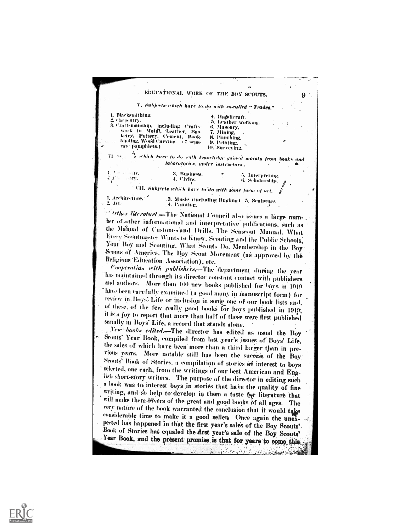